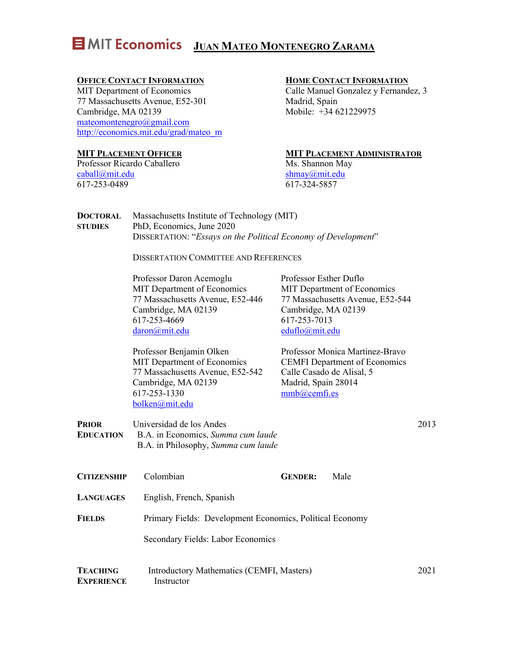# **E MIT Economics** JUAN MATEO MONTENEGRO ZARAMA

### **OFFICE CONTACT INFORMATION**

MIT Department of Economics 77 Massachusetts Avenue, E52-301 Cambridge, MA 02139 mateomontenegro@gmail.com http://economics.mit.edu/grad/mateo\_m

### **MIT PLACEMENT OFFICER**

Professor Ricardo Caballero caball@mit.edu 617-253-0489

### **HOME CONTACT INFORMATION**

Calle Manuel Gonzalez y Fernandez, 3 Madrid, Spain Mobile: +34 621229975

### **MIT PLACEMENT ADMINISTRATOR**

Ms. Shannon May shmay@mit.edu 617-324-5857

| <b>DOCTORAL</b> | Massachusetts Institute of Technology (MIT)                    |
|-----------------|----------------------------------------------------------------|
| <b>STUDIES</b>  | PhD, Economics, June 2020                                      |
|                 | DISSERTATION: "Essays on the Political Economy of Development" |

DISSERTATION COMMITTEE AND REFERENCES

Professor Daron Acemoglu MIT Department of Economics 77 Massachusetts Avenue, E52-446 Cambridge, MA 02139 617-253-4669 daron@mit.edu

Professor Esther Duflo MIT Department of Economics 77 Massachusetts Avenue, E52-544 Cambridge, MA 02139 617-253-7013 eduflo@mit.edu

Professor Benjamin Olken MIT Department of Economics 77 Massachusetts Avenue, E52-542 Cambridge, MA 02139 617-253-1330 bolken@mit.edu

Professor Monica Martinez-Bravo CEMFI Department of Economics Calle Casado de Alisal, 5 Madrid, Spain 28014 mmb@cemfi.es

**PRIOR EDUCATION** Universidad de los Andes B.A. in Economics, *Summa cum laude* B.A. in Philosophy, *Summa cum laude*

- **CITIZENSHIP** Colombian **GENDER:** Male **LANGUAGES** English, French, Spanish **FIELDS** Primary Fields: Development Economics, Political Economy Secondary Fields: Labor Economics
- **TEACHING EXPERIENCE** Introductory Mathematics (CEMFI, Masters) Instructor 2021

2013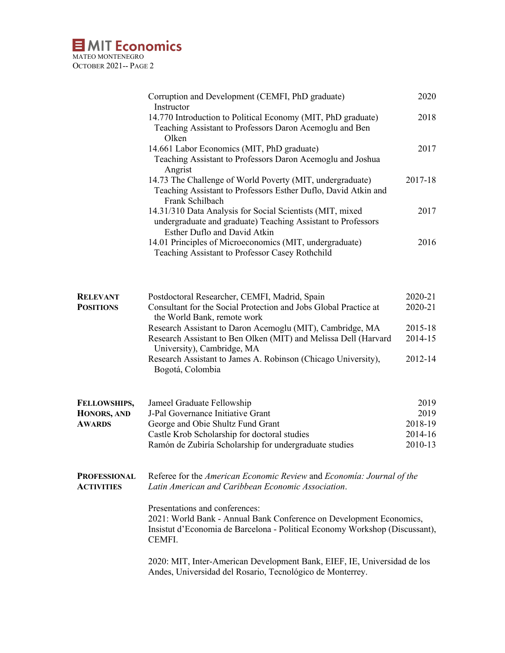## **E** MIT Economics MATEO MONTENEGRO OCTOBER 2021-- PAGE 2

| Corruption and Development (CEMFI, PhD graduate)                                                         | 2020    |
|----------------------------------------------------------------------------------------------------------|---------|
| Instructor<br>14.770 Introduction to Political Economy (MIT, PhD graduate)                               | 2018    |
| Teaching Assistant to Professors Daron Acemoglu and Ben                                                  |         |
| Olken                                                                                                    | 2017    |
| 14.661 Labor Economics (MIT, PhD graduate)<br>Teaching Assistant to Professors Daron Acemoglu and Joshua |         |
| Angrist                                                                                                  |         |
| 14.73 The Challenge of World Poverty (MIT, undergraduate)                                                | 2017-18 |
| Teaching Assistant to Professors Esther Duflo, David Atkin and                                           |         |
| Frank Schilbach                                                                                          |         |
| 14.31/310 Data Analysis for Social Scientists (MIT, mixed                                                | 2017    |
| undergraduate and graduate) Teaching Assistant to Professors                                             |         |
| Esther Duflo and David Atkin                                                                             |         |
| 14.01 Principles of Microeconomics (MIT, undergraduate)                                                  | 2016    |
| Teaching Assistant to Professor Casey Rothchild                                                          |         |

| <b>RELEVANT</b>  | Postdoctoral Researcher, CEMFI, Madrid, Spain                    | 2020-21 |
|------------------|------------------------------------------------------------------|---------|
| <b>POSITIONS</b> | Consultant for the Social Protection and Jobs Global Practice at | 2020-21 |
|                  | the World Bank, remote work                                      |         |
|                  | Research Assistant to Daron Acemoglu (MIT), Cambridge, MA        | 2015-18 |
|                  | Research Assistant to Ben Olken (MIT) and Melissa Dell (Harvard  | 2014-15 |
|                  | University), Cambridge, MA                                       |         |
|                  | Research Assistant to James A. Robinson (Chicago University),    | 2012-14 |
|                  | Bogotá, Colombia                                                 |         |

| <b>FELLOWSHIPS,</b> | Jameel Graduate Fellowship                             | 2019    |
|---------------------|--------------------------------------------------------|---------|
| HONORS, AND         | J-Pal Governance Initiative Grant                      | 2019    |
| <b>AWARDS</b>       | George and Obie Shultz Fund Grant                      | 2018-19 |
|                     | Castle Krob Scholarship for doctoral studies           | 2014-16 |
|                     | Ramón de Zubiría Scholarship for undergraduate studies | 2010-13 |
|                     |                                                        |         |

**PROFESSIONAL ACTIVITIES** Referee for the *American Economic Review* and *Economía: Journal of the Latin American and Caribbean Economic Association*.

> Presentations and conferences: 2021: World Bank - Annual Bank Conference on Development Economics, Insistut d'Economia de Barcelona - Political Economy Workshop (Discussant), CEMFI.

2020: MIT, Inter-American Development Bank, EIEF, IE, Universidad de los Andes, Universidad del Rosario, Tecnológico de Monterrey.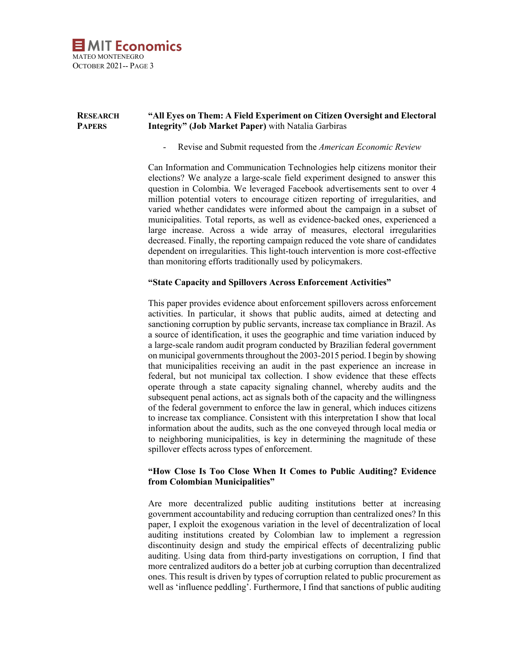

#### **RESEARCH PAPERS "All Eyes on Them: A Field Experiment on Citizen Oversight and Electoral Integrity" (Job Market Paper)** with Natalia Garbiras

- Revise and Submit requested from the *American Economic Review*

Can Information and Communication Technologies help citizens monitor their elections? We analyze a large-scale field experiment designed to answer this question in Colombia. We leveraged Facebook advertisements sent to over 4 million potential voters to encourage citizen reporting of irregularities, and varied whether candidates were informed about the campaign in a subset of municipalities. Total reports, as well as evidence-backed ones, experienced a large increase. Across a wide array of measures, electoral irregularities decreased. Finally, the reporting campaign reduced the vote share of candidates dependent on irregularities. This light-touch intervention is more cost-effective than monitoring efforts traditionally used by policymakers.

### **"State Capacity and Spillovers Across Enforcement Activities"**

This paper provides evidence about enforcement spillovers across enforcement activities. In particular, it shows that public audits, aimed at detecting and sanctioning corruption by public servants, increase tax compliance in Brazil. As a source of identification, it uses the geographic and time variation induced by a large-scale random audit program conducted by Brazilian federal government on municipal governments throughout the 2003-2015 period. I begin by showing that municipalities receiving an audit in the past experience an increase in federal, but not municipal tax collection. I show evidence that these effects operate through a state capacity signaling channel, whereby audits and the subsequent penal actions, act as signals both of the capacity and the willingness of the federal government to enforce the law in general, which induces citizens to increase tax compliance. Consistent with this interpretation I show that local information about the audits, such as the one conveyed through local media or to neighboring municipalities, is key in determining the magnitude of these spillover effects across types of enforcement.

### **"How Close Is Too Close When It Comes to Public Auditing? Evidence from Colombian Municipalities"**

Are more decentralized public auditing institutions better at increasing government accountability and reducing corruption than centralized ones? In this paper, I exploit the exogenous variation in the level of decentralization of local auditing institutions created by Colombian law to implement a regression discontinuity design and study the empirical effects of decentralizing public auditing. Using data from third-party investigations on corruption, I find that more centralized auditors do a better job at curbing corruption than decentralized ones. This result is driven by types of corruption related to public procurement as well as 'influence peddling'. Furthermore, I find that sanctions of public auditing